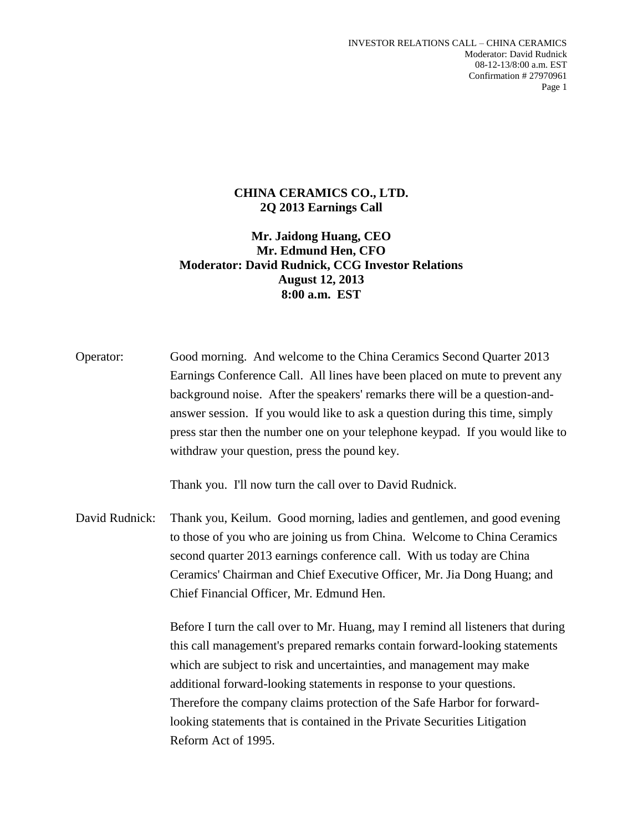## **CHINA CERAMICS CO., LTD. 2Q 2013 Earnings Call**

**Mr. Jaidong Huang, CEO Mr. Edmund Hen, CFO Moderator: David Rudnick, CCG Investor Relations August 12, 2013 8:00 a.m. EST**

Operator: Good morning. And welcome to the China Ceramics Second Quarter 2013 Earnings Conference Call. All lines have been placed on mute to prevent any background noise. After the speakers' remarks there will be a question-andanswer session. If you would like to ask a question during this time, simply press star then the number one on your telephone keypad. If you would like to withdraw your question, press the pound key.

Thank you. I'll now turn the call over to David Rudnick.

David Rudnick: Thank you, Keilum. Good morning, ladies and gentlemen, and good evening to those of you who are joining us from China. Welcome to China Ceramics second quarter 2013 earnings conference call. With us today are China Ceramics' Chairman and Chief Executive Officer, Mr. Jia Dong Huang; and Chief Financial Officer, Mr. Edmund Hen.

> Before I turn the call over to Mr. Huang, may I remind all listeners that during this call management's prepared remarks contain forward-looking statements which are subject to risk and uncertainties, and management may make additional forward-looking statements in response to your questions. Therefore the company claims protection of the Safe Harbor for forwardlooking statements that is contained in the Private Securities Litigation Reform Act of 1995.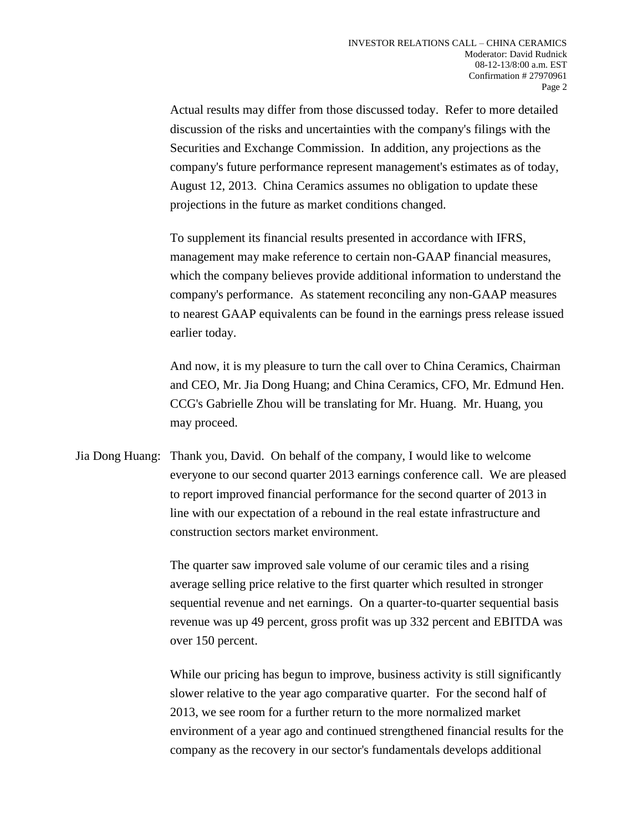Actual results may differ from those discussed today. Refer to more detailed discussion of the risks and uncertainties with the company's filings with the Securities and Exchange Commission. In addition, any projections as the company's future performance represent management's estimates as of today, August 12, 2013. China Ceramics assumes no obligation to update these projections in the future as market conditions changed.

To supplement its financial results presented in accordance with IFRS, management may make reference to certain non-GAAP financial measures, which the company believes provide additional information to understand the company's performance. As statement reconciling any non-GAAP measures to nearest GAAP equivalents can be found in the earnings press release issued earlier today.

And now, it is my pleasure to turn the call over to China Ceramics, Chairman and CEO, Mr. Jia Dong Huang; and China Ceramics, CFO, Mr. Edmund Hen. CCG's Gabrielle Zhou will be translating for Mr. Huang. Mr. Huang, you may proceed.

Jia Dong Huang: Thank you, David. On behalf of the company, I would like to welcome everyone to our second quarter 2013 earnings conference call. We are pleased to report improved financial performance for the second quarter of 2013 in line with our expectation of a rebound in the real estate infrastructure and construction sectors market environment.

> The quarter saw improved sale volume of our ceramic tiles and a rising average selling price relative to the first quarter which resulted in stronger sequential revenue and net earnings. On a quarter-to-quarter sequential basis revenue was up 49 percent, gross profit was up 332 percent and EBITDA was over 150 percent.

> While our pricing has begun to improve, business activity is still significantly slower relative to the year ago comparative quarter. For the second half of 2013, we see room for a further return to the more normalized market environment of a year ago and continued strengthened financial results for the company as the recovery in our sector's fundamentals develops additional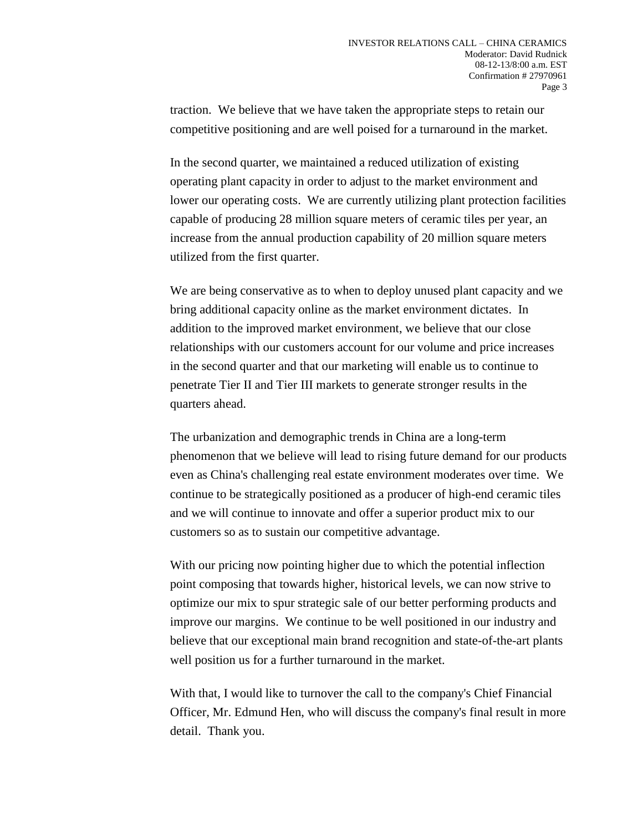traction. We believe that we have taken the appropriate steps to retain our competitive positioning and are well poised for a turnaround in the market.

In the second quarter, we maintained a reduced utilization of existing operating plant capacity in order to adjust to the market environment and lower our operating costs. We are currently utilizing plant protection facilities capable of producing 28 million square meters of ceramic tiles per year, an increase from the annual production capability of 20 million square meters utilized from the first quarter.

We are being conservative as to when to deploy unused plant capacity and we bring additional capacity online as the market environment dictates. In addition to the improved market environment, we believe that our close relationships with our customers account for our volume and price increases in the second quarter and that our marketing will enable us to continue to penetrate Tier II and Tier III markets to generate stronger results in the quarters ahead.

The urbanization and demographic trends in China are a long-term phenomenon that we believe will lead to rising future demand for our products even as China's challenging real estate environment moderates over time. We continue to be strategically positioned as a producer of high-end ceramic tiles and we will continue to innovate and offer a superior product mix to our customers so as to sustain our competitive advantage.

With our pricing now pointing higher due to which the potential inflection point composing that towards higher, historical levels, we can now strive to optimize our mix to spur strategic sale of our better performing products and improve our margins. We continue to be well positioned in our industry and believe that our exceptional main brand recognition and state-of-the-art plants well position us for a further turnaround in the market.

With that, I would like to turnover the call to the company's Chief Financial Officer, Mr. Edmund Hen, who will discuss the company's final result in more detail. Thank you.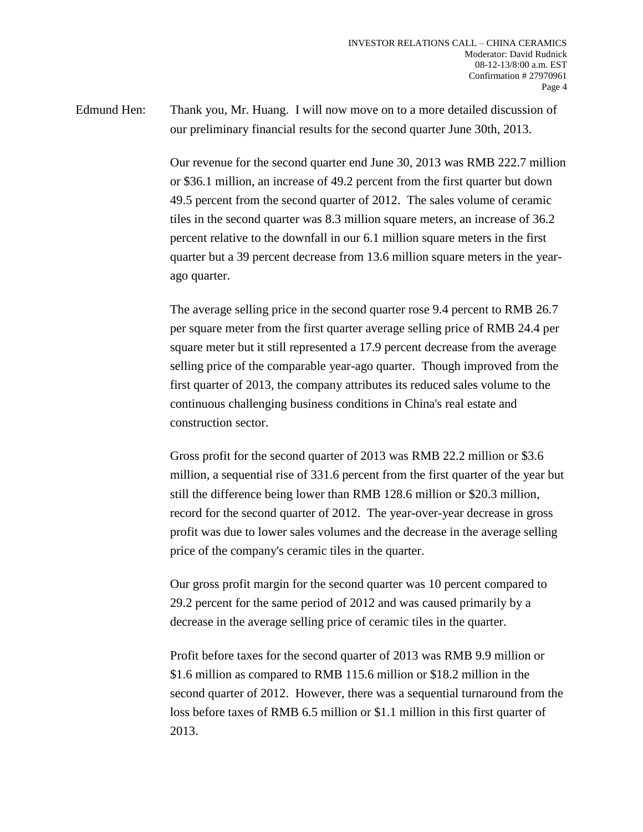Edmund Hen: Thank you, Mr. Huang. I will now move on to a more detailed discussion of our preliminary financial results for the second quarter June 30th, 2013.

> Our revenue for the second quarter end June 30, 2013 was RMB 222.7 million or \$36.1 million, an increase of 49.2 percent from the first quarter but down 49.5 percent from the second quarter of 2012. The sales volume of ceramic tiles in the second quarter was 8.3 million square meters, an increase of 36.2 percent relative to the downfall in our 6.1 million square meters in the first quarter but a 39 percent decrease from 13.6 million square meters in the yearago quarter.

The average selling price in the second quarter rose 9.4 percent to RMB 26.7 per square meter from the first quarter average selling price of RMB 24.4 per square meter but it still represented a 17.9 percent decrease from the average selling price of the comparable year-ago quarter. Though improved from the first quarter of 2013, the company attributes its reduced sales volume to the continuous challenging business conditions in China's real estate and construction sector.

Gross profit for the second quarter of 2013 was RMB 22.2 million or \$3.6 million, a sequential rise of 331.6 percent from the first quarter of the year but still the difference being lower than RMB 128.6 million or \$20.3 million, record for the second quarter of 2012. The year-over-year decrease in gross profit was due to lower sales volumes and the decrease in the average selling price of the company's ceramic tiles in the quarter.

Our gross profit margin for the second quarter was 10 percent compared to 29.2 percent for the same period of 2012 and was caused primarily by a decrease in the average selling price of ceramic tiles in the quarter.

Profit before taxes for the second quarter of 2013 was RMB 9.9 million or \$1.6 million as compared to RMB 115.6 million or \$18.2 million in the second quarter of 2012. However, there was a sequential turnaround from the loss before taxes of RMB 6.5 million or \$1.1 million in this first quarter of 2013.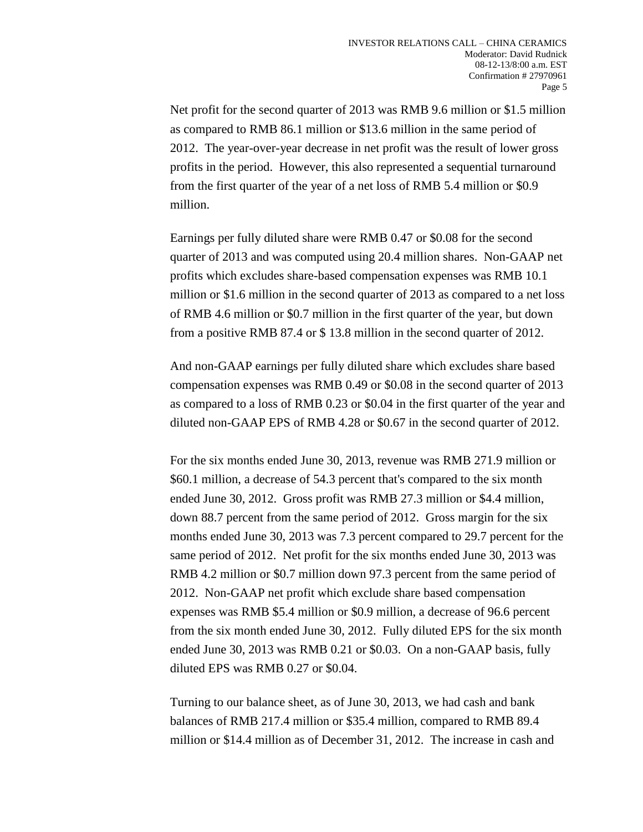Net profit for the second quarter of 2013 was RMB 9.6 million or \$1.5 million as compared to RMB 86.1 million or \$13.6 million in the same period of 2012. The year-over-year decrease in net profit was the result of lower gross profits in the period. However, this also represented a sequential turnaround from the first quarter of the year of a net loss of RMB 5.4 million or \$0.9 million.

Earnings per fully diluted share were RMB 0.47 or \$0.08 for the second quarter of 2013 and was computed using 20.4 million shares. Non-GAAP net profits which excludes share-based compensation expenses was RMB 10.1 million or \$1.6 million in the second quarter of 2013 as compared to a net loss of RMB 4.6 million or \$0.7 million in the first quarter of the year, but down from a positive RMB 87.4 or \$ 13.8 million in the second quarter of 2012.

And non-GAAP earnings per fully diluted share which excludes share based compensation expenses was RMB 0.49 or \$0.08 in the second quarter of 2013 as compared to a loss of RMB 0.23 or \$0.04 in the first quarter of the year and diluted non-GAAP EPS of RMB 4.28 or \$0.67 in the second quarter of 2012.

For the six months ended June 30, 2013, revenue was RMB 271.9 million or \$60.1 million, a decrease of 54.3 percent that's compared to the six month ended June 30, 2012. Gross profit was RMB 27.3 million or \$4.4 million, down 88.7 percent from the same period of 2012. Gross margin for the six months ended June 30, 2013 was 7.3 percent compared to 29.7 percent for the same period of 2012. Net profit for the six months ended June 30, 2013 was RMB 4.2 million or \$0.7 million down 97.3 percent from the same period of 2012. Non-GAAP net profit which exclude share based compensation expenses was RMB \$5.4 million or \$0.9 million, a decrease of 96.6 percent from the six month ended June 30, 2012. Fully diluted EPS for the six month ended June 30, 2013 was RMB 0.21 or \$0.03. On a non-GAAP basis, fully diluted EPS was RMB 0.27 or \$0.04.

Turning to our balance sheet, as of June 30, 2013, we had cash and bank balances of RMB 217.4 million or \$35.4 million, compared to RMB 89.4 million or \$14.4 million as of December 31, 2012. The increase in cash and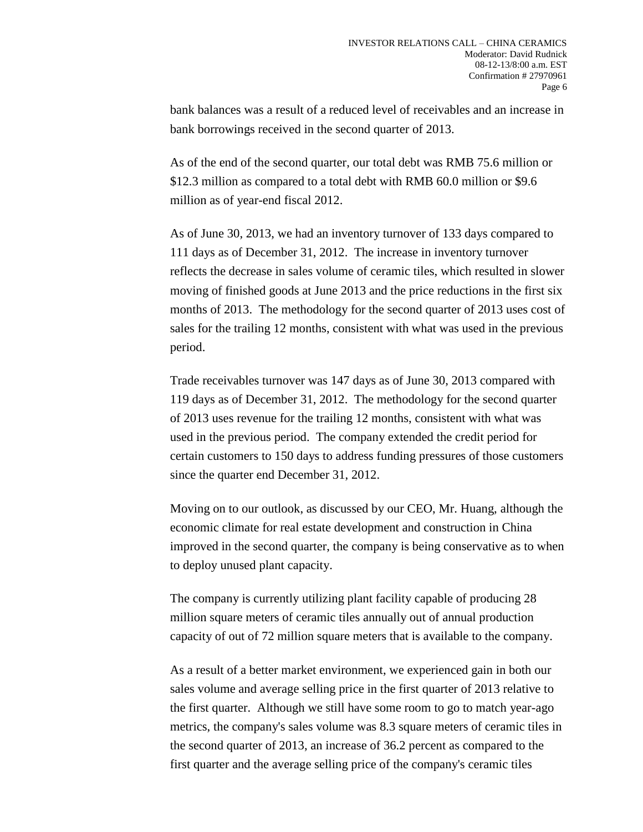bank balances was a result of a reduced level of receivables and an increase in bank borrowings received in the second quarter of 2013.

As of the end of the second quarter, our total debt was RMB 75.6 million or \$12.3 million as compared to a total debt with RMB 60.0 million or \$9.6 million as of year-end fiscal 2012.

As of June 30, 2013, we had an inventory turnover of 133 days compared to 111 days as of December 31, 2012. The increase in inventory turnover reflects the decrease in sales volume of ceramic tiles, which resulted in slower moving of finished goods at June 2013 and the price reductions in the first six months of 2013. The methodology for the second quarter of 2013 uses cost of sales for the trailing 12 months, consistent with what was used in the previous period.

Trade receivables turnover was 147 days as of June 30, 2013 compared with 119 days as of December 31, 2012. The methodology for the second quarter of 2013 uses revenue for the trailing 12 months, consistent with what was used in the previous period. The company extended the credit period for certain customers to 150 days to address funding pressures of those customers since the quarter end December 31, 2012.

Moving on to our outlook, as discussed by our CEO, Mr. Huang, although the economic climate for real estate development and construction in China improved in the second quarter, the company is being conservative as to when to deploy unused plant capacity.

The company is currently utilizing plant facility capable of producing 28 million square meters of ceramic tiles annually out of annual production capacity of out of 72 million square meters that is available to the company.

As a result of a better market environment, we experienced gain in both our sales volume and average selling price in the first quarter of 2013 relative to the first quarter. Although we still have some room to go to match year-ago metrics, the company's sales volume was 8.3 square meters of ceramic tiles in the second quarter of 2013, an increase of 36.2 percent as compared to the first quarter and the average selling price of the company's ceramic tiles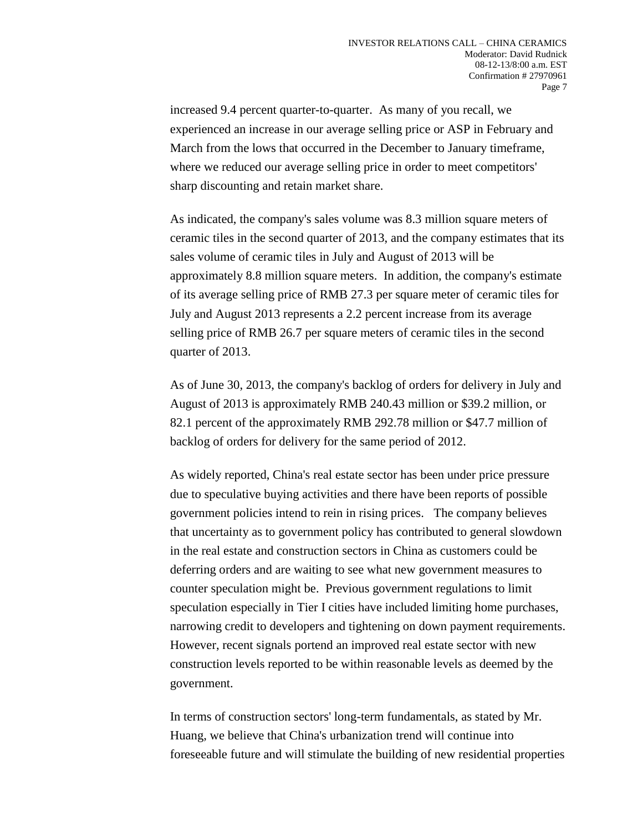increased 9.4 percent quarter-to-quarter. As many of you recall, we experienced an increase in our average selling price or ASP in February and March from the lows that occurred in the December to January timeframe, where we reduced our average selling price in order to meet competitors' sharp discounting and retain market share.

As indicated, the company's sales volume was 8.3 million square meters of ceramic tiles in the second quarter of 2013, and the company estimates that its sales volume of ceramic tiles in July and August of 2013 will be approximately 8.8 million square meters. In addition, the company's estimate of its average selling price of RMB 27.3 per square meter of ceramic tiles for July and August 2013 represents a 2.2 percent increase from its average selling price of RMB 26.7 per square meters of ceramic tiles in the second quarter of 2013.

As of June 30, 2013, the company's backlog of orders for delivery in July and August of 2013 is approximately RMB 240.43 million or \$39.2 million, or 82.1 percent of the approximately RMB 292.78 million or \$47.7 million of backlog of orders for delivery for the same period of 2012.

As widely reported, China's real estate sector has been under price pressure due to speculative buying activities and there have been reports of possible government policies intend to rein in rising prices. The company believes that uncertainty as to government policy has contributed to general slowdown in the real estate and construction sectors in China as customers could be deferring orders and are waiting to see what new government measures to counter speculation might be. Previous government regulations to limit speculation especially in Tier I cities have included limiting home purchases, narrowing credit to developers and tightening on down payment requirements. However, recent signals portend an improved real estate sector with new construction levels reported to be within reasonable levels as deemed by the government.

In terms of construction sectors' long-term fundamentals, as stated by Mr. Huang, we believe that China's urbanization trend will continue into foreseeable future and will stimulate the building of new residential properties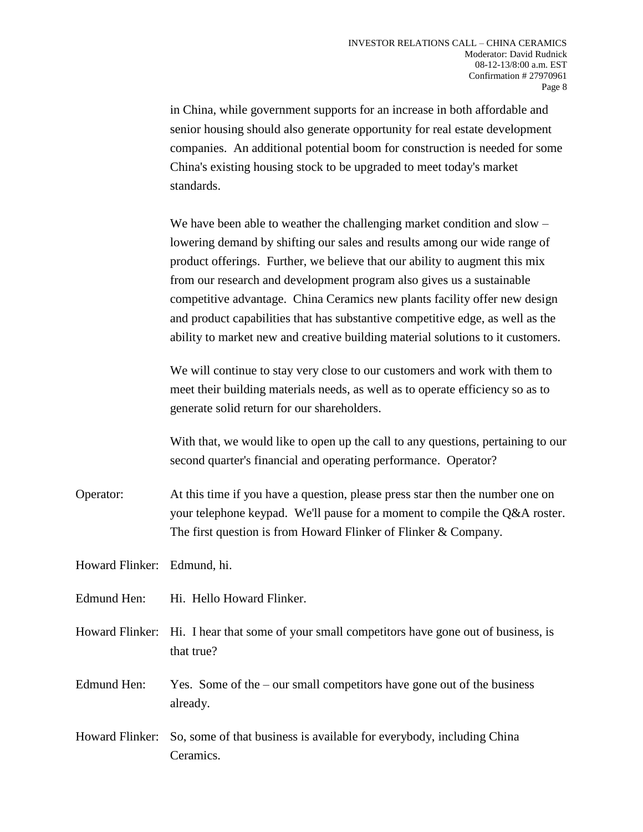in China, while government supports for an increase in both affordable and senior housing should also generate opportunity for real estate development companies. An additional potential boom for construction is needed for some China's existing housing stock to be upgraded to meet today's market standards.

We have been able to weather the challenging market condition and slow – lowering demand by shifting our sales and results among our wide range of product offerings. Further, we believe that our ability to augment this mix from our research and development program also gives us a sustainable competitive advantage. China Ceramics new plants facility offer new design and product capabilities that has substantive competitive edge, as well as the ability to market new and creative building material solutions to it customers.

We will continue to stay very close to our customers and work with them to meet their building materials needs, as well as to operate efficiency so as to generate solid return for our shareholders.

With that, we would like to open up the call to any questions, pertaining to our second quarter's financial and operating performance. Operator?

Operator: At this time if you have a question, please press star then the number one on your telephone keypad. We'll pause for a moment to compile the Q&A roster. The first question is from Howard Flinker of Flinker & Company.

Howard Flinker: Edmund, hi.

Edmund Hen: Hi. Hello Howard Flinker.

Howard Flinker: Hi. I hear that some of your small competitors have gone out of business, is that true?

Edmund Hen: Yes. Some of the – our small competitors have gone out of the business already.

Howard Flinker: So, some of that business is available for everybody, including China Ceramics.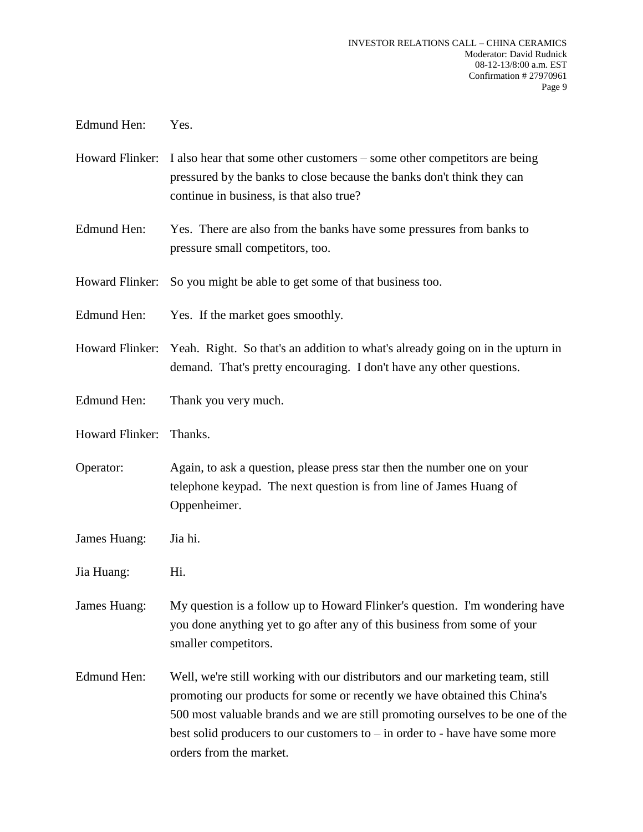Edmund Hen: Yes.

- Howard Flinker: I also hear that some other customers some other competitors are being pressured by the banks to close because the banks don't think they can continue in business, is that also true?
- Edmund Hen: Yes. There are also from the banks have some pressures from banks to pressure small competitors, too.
- Howard Flinker: So you might be able to get some of that business too.
- Edmund Hen: Yes. If the market goes smoothly.
- Howard Flinker: Yeah. Right. So that's an addition to what's already going on in the upturn in demand. That's pretty encouraging. I don't have any other questions.
- Edmund Hen: Thank you very much.
- Howard Flinker: Thanks.
- Operator: Again, to ask a question, please press star then the number one on your telephone keypad. The next question is from line of James Huang of Oppenheimer.
- James Huang: Jia hi.
- Jia Huang: Hi.
- James Huang: My question is a follow up to Howard Flinker's question. I'm wondering have you done anything yet to go after any of this business from some of your smaller competitors.
- Edmund Hen: Well, we're still working with our distributors and our marketing team, still promoting our products for some or recently we have obtained this China's 500 most valuable brands and we are still promoting ourselves to be one of the best solid producers to our customers to  $-$  in order to  $-$  have have some more orders from the market.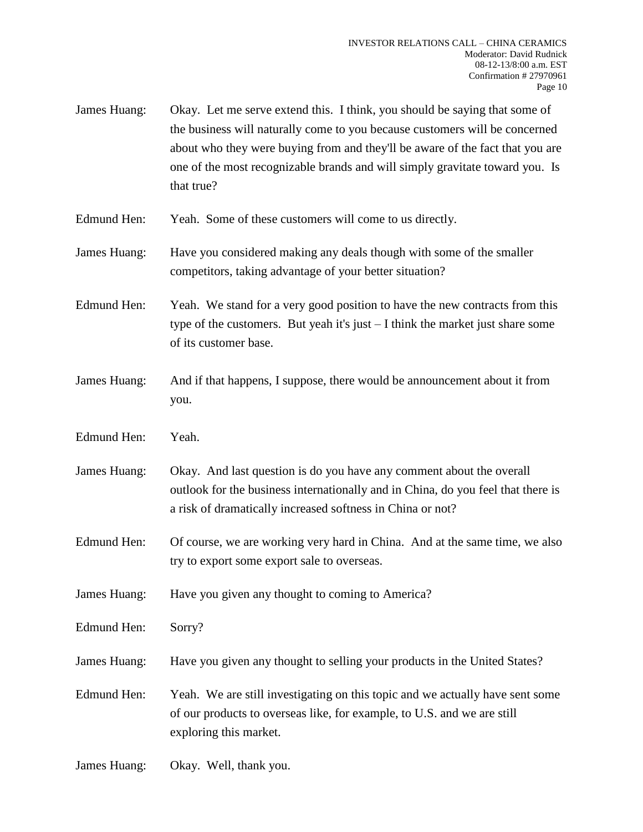- James Huang: Okay. Let me serve extend this. I think, you should be saying that some of the business will naturally come to you because customers will be concerned about who they were buying from and they'll be aware of the fact that you are one of the most recognizable brands and will simply gravitate toward you. Is that true?
- Edmund Hen: Yeah. Some of these customers will come to us directly.
- James Huang: Have you considered making any deals though with some of the smaller competitors, taking advantage of your better situation?
- Edmund Hen: Yeah. We stand for a very good position to have the new contracts from this type of the customers. But yeah it's just – I think the market just share some of its customer base.
- James Huang: And if that happens, I suppose, there would be announcement about it from you.
- Edmund Hen: Yeah.
- James Huang: Okay. And last question is do you have any comment about the overall outlook for the business internationally and in China, do you feel that there is a risk of dramatically increased softness in China or not?
- Edmund Hen: Of course, we are working very hard in China. And at the same time, we also try to export some export sale to overseas.
- James Huang: Have you given any thought to coming to America?
- Edmund Hen: Sorry?
- James Huang: Have you given any thought to selling your products in the United States?
- Edmund Hen: Yeah. We are still investigating on this topic and we actually have sent some of our products to overseas like, for example, to U.S. and we are still exploring this market.
- James Huang: Okay. Well, thank you.